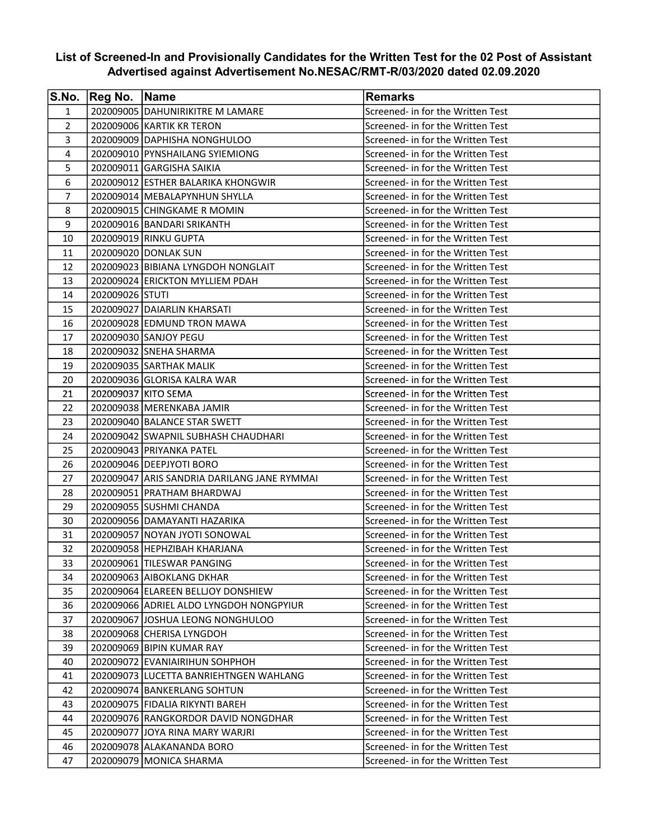## List of Screened-In and Provisionally Candidates for the Written Test for the 02 Post of Assistant Advertised against Advertisement No.NESAC/RMT-R/03/2020 dated 02.09.2020

| S.No.          | Reg No. Name    |                                             | <b>Remarks</b>                    |
|----------------|-----------------|---------------------------------------------|-----------------------------------|
| $\mathbf{1}$   |                 | 202009005 DAHUNIRIKITRE M LAMARE            | Screened- in for the Written Test |
| $\overline{2}$ |                 | 202009006 KARTIK KR TERON                   | Screened- in for the Written Test |
| 3              |                 | 202009009 DAPHISHA NONGHULOO                | Screened- in for the Written Test |
| 4              |                 | 202009010 PYNSHAILANG SYIEMIONG             | Screened- in for the Written Test |
| 5              |                 | 202009011 GARGISHA SAIKIA                   | Screened- in for the Written Test |
| 6              |                 | 202009012 ESTHER BALARIKA KHONGWIR          | Screened- in for the Written Test |
| 7              |                 | 202009014   MEBALAPYNHUN SHYLLA             | Screened- in for the Written Test |
| 8              |                 | 202009015 CHINGKAME R MOMIN                 | Screened- in for the Written Test |
| 9              |                 | 202009016 BANDARI SRIKANTH                  | Screened- in for the Written Test |
| 10             |                 | 202009019 RINKU GUPTA                       | Screened- in for the Written Test |
| 11             |                 | 202009020 DONLAK SUN                        | Screened- in for the Written Test |
| 12             |                 | 202009023 BIBIANA LYNGDOH NONGLAIT          | Screened- in for the Written Test |
| 13             |                 | 202009024 ERICKTON MYLLIEM PDAH             | Screened- in for the Written Test |
| 14             | 202009026 STUTI |                                             | Screened- in for the Written Test |
| 15             |                 | 202009027 DAIARLIN KHARSATI                 | Screened- in for the Written Test |
| 16             |                 | 202009028 EDMUND TRON MAWA                  | Screened- in for the Written Test |
| 17             |                 | 202009030 SANJOY PEGU                       | Screened- in for the Written Test |
| 18             |                 | 202009032 SNEHA SHARMA                      | Screened- in for the Written Test |
| 19             |                 | 202009035 SARTHAK MALIK                     | Screened- in for the Written Test |
| 20             |                 | 202009036 GLORISA KALRA WAR                 | Screened- in for the Written Test |
| 21             |                 | 202009037 KITO SEMA                         | Screened- in for the Written Test |
| 22             |                 | 202009038   MERENKABA JAMIR                 | Screened- in for the Written Test |
| 23             |                 | 202009040 BALANCE STAR SWETT                | Screened- in for the Written Test |
| 24             |                 | 202009042 SWAPNIL SUBHASH CHAUDHARI         | Screened- in for the Written Test |
| 25             |                 | 202009043 PRIYANKA PATEL                    | Screened- in for the Written Test |
| 26             |                 | 202009046   DEEPJYOTI BORO                  | Screened- in for the Written Test |
| 27             |                 | 202009047 ARIS SANDRIA DARILANG JANE RYMMAI | Screened- in for the Written Test |
| 28             |                 | 202009051 PRATHAM BHARDWAJ                  | Screened- in for the Written Test |
| 29             |                 | 202009055 SUSHMI CHANDA                     | Screened- in for the Written Test |
| 30             |                 | 202009056 DAMAYANTI HAZARIKA                | Screened- in for the Written Test |
| 31             |                 | 202009057 NOYAN JYOTI SONOWAL               | Screened- in for the Written Test |
| 32             |                 | 202009058 HEPHZIBAH KHARJANA                | Screened- in for the Written Test |
| 33             |                 | 202009061 TILESWAR PANGING                  | Screened- in for the Written Test |
| 34             |                 | 202009063 AIBOKLANG DKHAR                   | Screened- in for the Written Test |
| 35             |                 | 202009064 ELAREEN BELLJOY DONSHIEW          | Screened- in for the Written Test |
| 36             |                 | 202009066 ADRIEL ALDO LYNGDOH NONGPYIUR     | Screened- in for the Written Test |
| 37             |                 | 202009067 JOSHUA LEONG NONGHULOO            | Screened- in for the Written Test |
| 38             |                 | 202009068 CHERISA LYNGDOH                   | Screened- in for the Written Test |
| 39             |                 | 202009069 BIPIN KUMAR RAY                   | Screened- in for the Written Test |
| 40             |                 | 202009072 EVANIAIRIHUN SOHPHOH              | Screened- in for the Written Test |
| 41             |                 | 202009073 LUCETTA BANRIEHTNGEN WAHLANG      | Screened- in for the Written Test |
| 42             |                 | 202009074 BANKERLANG SOHTUN                 | Screened- in for the Written Test |
| 43             |                 | 202009075 FIDALIA RIKYNTI BAREH             | Screened- in for the Written Test |
| 44             |                 | 202009076 RANGKORDOR DAVID NONGDHAR         | Screened- in for the Written Test |
| 45             |                 | 202009077 JJOYA RINA MARY WARJRI            | Screened- in for the Written Test |
| 46             |                 | 202009078 ALAKANANDA BORO                   | Screened- in for the Written Test |
| 47             |                 | 202009079 MONICA SHARMA                     | Screened- in for the Written Test |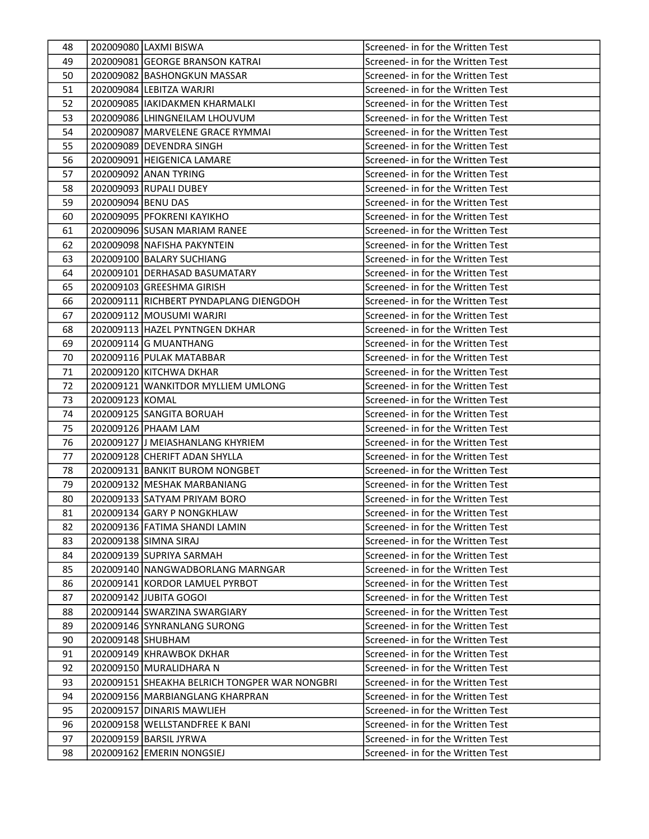| 49<br>202009081 GEORGE BRANSON KATRAI<br>Screened- in for the Written Test<br>202009082 BASHONGKUN MASSAR<br>Screened- in for the Written Test<br>50<br>202009084 LEBITZA WARJRI<br>Screened- in for the Written Test<br>51<br>52<br>202009085  IAKIDAKMEN KHARMALKI<br>Screened- in for the Written Test<br>53<br>Screened- in for the Written Test<br>202009086 LHINGNEILAM LHOUVUM<br>54<br>202009087   MARVELENE GRACE RYMMAI<br>Screened- in for the Written Test<br>202009089 DEVENDRA SINGH<br>55<br>Screened- in for the Written Test<br>56<br>202009091 HEIGENICA LAMARE<br>Screened- in for the Written Test<br>57<br>202009092 ANAN TYRING<br>Screened- in for the Written Test<br>58<br>202009093 RUPALI DUBEY<br>Screened- in for the Written Test<br>59<br>202009094 BENU DAS<br>Screened- in for the Written Test<br>202009095 PFOKRENI KAYIKHO<br>60<br>Screened- in for the Written Test<br>202009096 SUSAN MARIAM RANEE<br>61<br>Screened- in for the Written Test<br>Screened- in for the Written Test<br>62<br>202009098 NAFISHA PAKYNTEIN<br>202009100 BALARY SUCHIANG<br>Screened- in for the Written Test<br>63<br>64<br>202009101 DERHASAD BASUMATARY<br>Screened- in for the Written Test<br>202009103 GREESHMA GIRISH<br>65<br>Screened- in for the Written Test<br>66<br>202009111 RICHBERT PYNDAPLANG DIENGDOH<br>Screened- in for the Written Test<br>67<br>202009112 MOUSUMI WARJRI<br>Screened- in for the Written Test<br>202009113 HAZEL PYNTNGEN DKHAR<br>68<br>Screened- in for the Written Test<br>202009114 G MUANTHANG<br>Screened- in for the Written Test<br>69<br>202009116 PULAK MATABBAR<br>70<br>Screened- in for the Written Test<br>71<br>202009120 KITCHWA DKHAR<br>Screened- in for the Written Test<br>72<br>202009121 WANKITDOR MYLLIEM UMLONG<br>Screened- in for the Written Test<br>73<br>202009123 KOMAL<br>Screened- in for the Written Test<br>74<br>202009125 SANGITA BORUAH<br>Screened- in for the Written Test<br>75<br>202009126 PHAAM LAM<br>Screened- in for the Written Test<br>76<br>202009127 JJ MEIASHANLANG KHYRIEM<br>Screened- in for the Written Test<br>77<br>202009128 CHERIFT ADAN SHYLLA<br>Screened- in for the Written Test<br>202009131 BANKIT BUROM NONGBET<br>Screened- in for the Written Test<br>78<br>79<br>202009132 MESHAK MARBANIANG<br>Screened- in for the Written Test<br>80<br>202009133 SATYAM PRIYAM BORO<br>Screened- in for the Written Test<br>81<br>202009134 GARY P NONGKHLAW<br>Screened- in for the Written Test<br>82<br>202009136 FATIMA SHANDI LAMIN<br>Screened- in for the Written Test<br>83<br>202009138 SIMNA SIRAJ<br>Screened- in for the Written Test<br>84<br>202009139 SUPRIYA SARMAH<br>Screened- in for the Written Test<br>85<br>202009140 NANGWADBORLANG MARNGAR<br>Screened- in for the Written Test<br>202009141 KORDOR LAMUEL PYRBOT<br>Screened- in for the Written Test<br>86<br>202009142 JJUBITA GOGOI<br>Screened- in for the Written Test<br>87<br>202009144 SWARZINA SWARGIARY<br>88<br>Screened- in for the Written Test |
|---------------------------------------------------------------------------------------------------------------------------------------------------------------------------------------------------------------------------------------------------------------------------------------------------------------------------------------------------------------------------------------------------------------------------------------------------------------------------------------------------------------------------------------------------------------------------------------------------------------------------------------------------------------------------------------------------------------------------------------------------------------------------------------------------------------------------------------------------------------------------------------------------------------------------------------------------------------------------------------------------------------------------------------------------------------------------------------------------------------------------------------------------------------------------------------------------------------------------------------------------------------------------------------------------------------------------------------------------------------------------------------------------------------------------------------------------------------------------------------------------------------------------------------------------------------------------------------------------------------------------------------------------------------------------------------------------------------------------------------------------------------------------------------------------------------------------------------------------------------------------------------------------------------------------------------------------------------------------------------------------------------------------------------------------------------------------------------------------------------------------------------------------------------------------------------------------------------------------------------------------------------------------------------------------------------------------------------------------------------------------------------------------------------------------------------------------------------------------------------------------------------------------------------------------------------------------------------------------------------------------------------------------------------------------------------------------------------------------------------------------------------------------------------------------------------------------------------------------------------------------------------------------------------------------------------------------------------------------------------------------------------------------------------------------------|
|                                                                                                                                                                                                                                                                                                                                                                                                                                                                                                                                                                                                                                                                                                                                                                                                                                                                                                                                                                                                                                                                                                                                                                                                                                                                                                                                                                                                                                                                                                                                                                                                                                                                                                                                                                                                                                                                                                                                                                                                                                                                                                                                                                                                                                                                                                                                                                                                                                                                                                                                                                                                                                                                                                                                                                                                                                                                                                                                                                                                                                                         |
|                                                                                                                                                                                                                                                                                                                                                                                                                                                                                                                                                                                                                                                                                                                                                                                                                                                                                                                                                                                                                                                                                                                                                                                                                                                                                                                                                                                                                                                                                                                                                                                                                                                                                                                                                                                                                                                                                                                                                                                                                                                                                                                                                                                                                                                                                                                                                                                                                                                                                                                                                                                                                                                                                                                                                                                                                                                                                                                                                                                                                                                         |
|                                                                                                                                                                                                                                                                                                                                                                                                                                                                                                                                                                                                                                                                                                                                                                                                                                                                                                                                                                                                                                                                                                                                                                                                                                                                                                                                                                                                                                                                                                                                                                                                                                                                                                                                                                                                                                                                                                                                                                                                                                                                                                                                                                                                                                                                                                                                                                                                                                                                                                                                                                                                                                                                                                                                                                                                                                                                                                                                                                                                                                                         |
|                                                                                                                                                                                                                                                                                                                                                                                                                                                                                                                                                                                                                                                                                                                                                                                                                                                                                                                                                                                                                                                                                                                                                                                                                                                                                                                                                                                                                                                                                                                                                                                                                                                                                                                                                                                                                                                                                                                                                                                                                                                                                                                                                                                                                                                                                                                                                                                                                                                                                                                                                                                                                                                                                                                                                                                                                                                                                                                                                                                                                                                         |
|                                                                                                                                                                                                                                                                                                                                                                                                                                                                                                                                                                                                                                                                                                                                                                                                                                                                                                                                                                                                                                                                                                                                                                                                                                                                                                                                                                                                                                                                                                                                                                                                                                                                                                                                                                                                                                                                                                                                                                                                                                                                                                                                                                                                                                                                                                                                                                                                                                                                                                                                                                                                                                                                                                                                                                                                                                                                                                                                                                                                                                                         |
|                                                                                                                                                                                                                                                                                                                                                                                                                                                                                                                                                                                                                                                                                                                                                                                                                                                                                                                                                                                                                                                                                                                                                                                                                                                                                                                                                                                                                                                                                                                                                                                                                                                                                                                                                                                                                                                                                                                                                                                                                                                                                                                                                                                                                                                                                                                                                                                                                                                                                                                                                                                                                                                                                                                                                                                                                                                                                                                                                                                                                                                         |
|                                                                                                                                                                                                                                                                                                                                                                                                                                                                                                                                                                                                                                                                                                                                                                                                                                                                                                                                                                                                                                                                                                                                                                                                                                                                                                                                                                                                                                                                                                                                                                                                                                                                                                                                                                                                                                                                                                                                                                                                                                                                                                                                                                                                                                                                                                                                                                                                                                                                                                                                                                                                                                                                                                                                                                                                                                                                                                                                                                                                                                                         |
|                                                                                                                                                                                                                                                                                                                                                                                                                                                                                                                                                                                                                                                                                                                                                                                                                                                                                                                                                                                                                                                                                                                                                                                                                                                                                                                                                                                                                                                                                                                                                                                                                                                                                                                                                                                                                                                                                                                                                                                                                                                                                                                                                                                                                                                                                                                                                                                                                                                                                                                                                                                                                                                                                                                                                                                                                                                                                                                                                                                                                                                         |
|                                                                                                                                                                                                                                                                                                                                                                                                                                                                                                                                                                                                                                                                                                                                                                                                                                                                                                                                                                                                                                                                                                                                                                                                                                                                                                                                                                                                                                                                                                                                                                                                                                                                                                                                                                                                                                                                                                                                                                                                                                                                                                                                                                                                                                                                                                                                                                                                                                                                                                                                                                                                                                                                                                                                                                                                                                                                                                                                                                                                                                                         |
|                                                                                                                                                                                                                                                                                                                                                                                                                                                                                                                                                                                                                                                                                                                                                                                                                                                                                                                                                                                                                                                                                                                                                                                                                                                                                                                                                                                                                                                                                                                                                                                                                                                                                                                                                                                                                                                                                                                                                                                                                                                                                                                                                                                                                                                                                                                                                                                                                                                                                                                                                                                                                                                                                                                                                                                                                                                                                                                                                                                                                                                         |
|                                                                                                                                                                                                                                                                                                                                                                                                                                                                                                                                                                                                                                                                                                                                                                                                                                                                                                                                                                                                                                                                                                                                                                                                                                                                                                                                                                                                                                                                                                                                                                                                                                                                                                                                                                                                                                                                                                                                                                                                                                                                                                                                                                                                                                                                                                                                                                                                                                                                                                                                                                                                                                                                                                                                                                                                                                                                                                                                                                                                                                                         |
|                                                                                                                                                                                                                                                                                                                                                                                                                                                                                                                                                                                                                                                                                                                                                                                                                                                                                                                                                                                                                                                                                                                                                                                                                                                                                                                                                                                                                                                                                                                                                                                                                                                                                                                                                                                                                                                                                                                                                                                                                                                                                                                                                                                                                                                                                                                                                                                                                                                                                                                                                                                                                                                                                                                                                                                                                                                                                                                                                                                                                                                         |
|                                                                                                                                                                                                                                                                                                                                                                                                                                                                                                                                                                                                                                                                                                                                                                                                                                                                                                                                                                                                                                                                                                                                                                                                                                                                                                                                                                                                                                                                                                                                                                                                                                                                                                                                                                                                                                                                                                                                                                                                                                                                                                                                                                                                                                                                                                                                                                                                                                                                                                                                                                                                                                                                                                                                                                                                                                                                                                                                                                                                                                                         |
|                                                                                                                                                                                                                                                                                                                                                                                                                                                                                                                                                                                                                                                                                                                                                                                                                                                                                                                                                                                                                                                                                                                                                                                                                                                                                                                                                                                                                                                                                                                                                                                                                                                                                                                                                                                                                                                                                                                                                                                                                                                                                                                                                                                                                                                                                                                                                                                                                                                                                                                                                                                                                                                                                                                                                                                                                                                                                                                                                                                                                                                         |
|                                                                                                                                                                                                                                                                                                                                                                                                                                                                                                                                                                                                                                                                                                                                                                                                                                                                                                                                                                                                                                                                                                                                                                                                                                                                                                                                                                                                                                                                                                                                                                                                                                                                                                                                                                                                                                                                                                                                                                                                                                                                                                                                                                                                                                                                                                                                                                                                                                                                                                                                                                                                                                                                                                                                                                                                                                                                                                                                                                                                                                                         |
|                                                                                                                                                                                                                                                                                                                                                                                                                                                                                                                                                                                                                                                                                                                                                                                                                                                                                                                                                                                                                                                                                                                                                                                                                                                                                                                                                                                                                                                                                                                                                                                                                                                                                                                                                                                                                                                                                                                                                                                                                                                                                                                                                                                                                                                                                                                                                                                                                                                                                                                                                                                                                                                                                                                                                                                                                                                                                                                                                                                                                                                         |
|                                                                                                                                                                                                                                                                                                                                                                                                                                                                                                                                                                                                                                                                                                                                                                                                                                                                                                                                                                                                                                                                                                                                                                                                                                                                                                                                                                                                                                                                                                                                                                                                                                                                                                                                                                                                                                                                                                                                                                                                                                                                                                                                                                                                                                                                                                                                                                                                                                                                                                                                                                                                                                                                                                                                                                                                                                                                                                                                                                                                                                                         |
|                                                                                                                                                                                                                                                                                                                                                                                                                                                                                                                                                                                                                                                                                                                                                                                                                                                                                                                                                                                                                                                                                                                                                                                                                                                                                                                                                                                                                                                                                                                                                                                                                                                                                                                                                                                                                                                                                                                                                                                                                                                                                                                                                                                                                                                                                                                                                                                                                                                                                                                                                                                                                                                                                                                                                                                                                                                                                                                                                                                                                                                         |
|                                                                                                                                                                                                                                                                                                                                                                                                                                                                                                                                                                                                                                                                                                                                                                                                                                                                                                                                                                                                                                                                                                                                                                                                                                                                                                                                                                                                                                                                                                                                                                                                                                                                                                                                                                                                                                                                                                                                                                                                                                                                                                                                                                                                                                                                                                                                                                                                                                                                                                                                                                                                                                                                                                                                                                                                                                                                                                                                                                                                                                                         |
|                                                                                                                                                                                                                                                                                                                                                                                                                                                                                                                                                                                                                                                                                                                                                                                                                                                                                                                                                                                                                                                                                                                                                                                                                                                                                                                                                                                                                                                                                                                                                                                                                                                                                                                                                                                                                                                                                                                                                                                                                                                                                                                                                                                                                                                                                                                                                                                                                                                                                                                                                                                                                                                                                                                                                                                                                                                                                                                                                                                                                                                         |
|                                                                                                                                                                                                                                                                                                                                                                                                                                                                                                                                                                                                                                                                                                                                                                                                                                                                                                                                                                                                                                                                                                                                                                                                                                                                                                                                                                                                                                                                                                                                                                                                                                                                                                                                                                                                                                                                                                                                                                                                                                                                                                                                                                                                                                                                                                                                                                                                                                                                                                                                                                                                                                                                                                                                                                                                                                                                                                                                                                                                                                                         |
|                                                                                                                                                                                                                                                                                                                                                                                                                                                                                                                                                                                                                                                                                                                                                                                                                                                                                                                                                                                                                                                                                                                                                                                                                                                                                                                                                                                                                                                                                                                                                                                                                                                                                                                                                                                                                                                                                                                                                                                                                                                                                                                                                                                                                                                                                                                                                                                                                                                                                                                                                                                                                                                                                                                                                                                                                                                                                                                                                                                                                                                         |
|                                                                                                                                                                                                                                                                                                                                                                                                                                                                                                                                                                                                                                                                                                                                                                                                                                                                                                                                                                                                                                                                                                                                                                                                                                                                                                                                                                                                                                                                                                                                                                                                                                                                                                                                                                                                                                                                                                                                                                                                                                                                                                                                                                                                                                                                                                                                                                                                                                                                                                                                                                                                                                                                                                                                                                                                                                                                                                                                                                                                                                                         |
|                                                                                                                                                                                                                                                                                                                                                                                                                                                                                                                                                                                                                                                                                                                                                                                                                                                                                                                                                                                                                                                                                                                                                                                                                                                                                                                                                                                                                                                                                                                                                                                                                                                                                                                                                                                                                                                                                                                                                                                                                                                                                                                                                                                                                                                                                                                                                                                                                                                                                                                                                                                                                                                                                                                                                                                                                                                                                                                                                                                                                                                         |
|                                                                                                                                                                                                                                                                                                                                                                                                                                                                                                                                                                                                                                                                                                                                                                                                                                                                                                                                                                                                                                                                                                                                                                                                                                                                                                                                                                                                                                                                                                                                                                                                                                                                                                                                                                                                                                                                                                                                                                                                                                                                                                                                                                                                                                                                                                                                                                                                                                                                                                                                                                                                                                                                                                                                                                                                                                                                                                                                                                                                                                                         |
|                                                                                                                                                                                                                                                                                                                                                                                                                                                                                                                                                                                                                                                                                                                                                                                                                                                                                                                                                                                                                                                                                                                                                                                                                                                                                                                                                                                                                                                                                                                                                                                                                                                                                                                                                                                                                                                                                                                                                                                                                                                                                                                                                                                                                                                                                                                                                                                                                                                                                                                                                                                                                                                                                                                                                                                                                                                                                                                                                                                                                                                         |
|                                                                                                                                                                                                                                                                                                                                                                                                                                                                                                                                                                                                                                                                                                                                                                                                                                                                                                                                                                                                                                                                                                                                                                                                                                                                                                                                                                                                                                                                                                                                                                                                                                                                                                                                                                                                                                                                                                                                                                                                                                                                                                                                                                                                                                                                                                                                                                                                                                                                                                                                                                                                                                                                                                                                                                                                                                                                                                                                                                                                                                                         |
|                                                                                                                                                                                                                                                                                                                                                                                                                                                                                                                                                                                                                                                                                                                                                                                                                                                                                                                                                                                                                                                                                                                                                                                                                                                                                                                                                                                                                                                                                                                                                                                                                                                                                                                                                                                                                                                                                                                                                                                                                                                                                                                                                                                                                                                                                                                                                                                                                                                                                                                                                                                                                                                                                                                                                                                                                                                                                                                                                                                                                                                         |
|                                                                                                                                                                                                                                                                                                                                                                                                                                                                                                                                                                                                                                                                                                                                                                                                                                                                                                                                                                                                                                                                                                                                                                                                                                                                                                                                                                                                                                                                                                                                                                                                                                                                                                                                                                                                                                                                                                                                                                                                                                                                                                                                                                                                                                                                                                                                                                                                                                                                                                                                                                                                                                                                                                                                                                                                                                                                                                                                                                                                                                                         |
|                                                                                                                                                                                                                                                                                                                                                                                                                                                                                                                                                                                                                                                                                                                                                                                                                                                                                                                                                                                                                                                                                                                                                                                                                                                                                                                                                                                                                                                                                                                                                                                                                                                                                                                                                                                                                                                                                                                                                                                                                                                                                                                                                                                                                                                                                                                                                                                                                                                                                                                                                                                                                                                                                                                                                                                                                                                                                                                                                                                                                                                         |
|                                                                                                                                                                                                                                                                                                                                                                                                                                                                                                                                                                                                                                                                                                                                                                                                                                                                                                                                                                                                                                                                                                                                                                                                                                                                                                                                                                                                                                                                                                                                                                                                                                                                                                                                                                                                                                                                                                                                                                                                                                                                                                                                                                                                                                                                                                                                                                                                                                                                                                                                                                                                                                                                                                                                                                                                                                                                                                                                                                                                                                                         |
|                                                                                                                                                                                                                                                                                                                                                                                                                                                                                                                                                                                                                                                                                                                                                                                                                                                                                                                                                                                                                                                                                                                                                                                                                                                                                                                                                                                                                                                                                                                                                                                                                                                                                                                                                                                                                                                                                                                                                                                                                                                                                                                                                                                                                                                                                                                                                                                                                                                                                                                                                                                                                                                                                                                                                                                                                                                                                                                                                                                                                                                         |
|                                                                                                                                                                                                                                                                                                                                                                                                                                                                                                                                                                                                                                                                                                                                                                                                                                                                                                                                                                                                                                                                                                                                                                                                                                                                                                                                                                                                                                                                                                                                                                                                                                                                                                                                                                                                                                                                                                                                                                                                                                                                                                                                                                                                                                                                                                                                                                                                                                                                                                                                                                                                                                                                                                                                                                                                                                                                                                                                                                                                                                                         |
|                                                                                                                                                                                                                                                                                                                                                                                                                                                                                                                                                                                                                                                                                                                                                                                                                                                                                                                                                                                                                                                                                                                                                                                                                                                                                                                                                                                                                                                                                                                                                                                                                                                                                                                                                                                                                                                                                                                                                                                                                                                                                                                                                                                                                                                                                                                                                                                                                                                                                                                                                                                                                                                                                                                                                                                                                                                                                                                                                                                                                                                         |
|                                                                                                                                                                                                                                                                                                                                                                                                                                                                                                                                                                                                                                                                                                                                                                                                                                                                                                                                                                                                                                                                                                                                                                                                                                                                                                                                                                                                                                                                                                                                                                                                                                                                                                                                                                                                                                                                                                                                                                                                                                                                                                                                                                                                                                                                                                                                                                                                                                                                                                                                                                                                                                                                                                                                                                                                                                                                                                                                                                                                                                                         |
|                                                                                                                                                                                                                                                                                                                                                                                                                                                                                                                                                                                                                                                                                                                                                                                                                                                                                                                                                                                                                                                                                                                                                                                                                                                                                                                                                                                                                                                                                                                                                                                                                                                                                                                                                                                                                                                                                                                                                                                                                                                                                                                                                                                                                                                                                                                                                                                                                                                                                                                                                                                                                                                                                                                                                                                                                                                                                                                                                                                                                                                         |
|                                                                                                                                                                                                                                                                                                                                                                                                                                                                                                                                                                                                                                                                                                                                                                                                                                                                                                                                                                                                                                                                                                                                                                                                                                                                                                                                                                                                                                                                                                                                                                                                                                                                                                                                                                                                                                                                                                                                                                                                                                                                                                                                                                                                                                                                                                                                                                                                                                                                                                                                                                                                                                                                                                                                                                                                                                                                                                                                                                                                                                                         |
|                                                                                                                                                                                                                                                                                                                                                                                                                                                                                                                                                                                                                                                                                                                                                                                                                                                                                                                                                                                                                                                                                                                                                                                                                                                                                                                                                                                                                                                                                                                                                                                                                                                                                                                                                                                                                                                                                                                                                                                                                                                                                                                                                                                                                                                                                                                                                                                                                                                                                                                                                                                                                                                                                                                                                                                                                                                                                                                                                                                                                                                         |
|                                                                                                                                                                                                                                                                                                                                                                                                                                                                                                                                                                                                                                                                                                                                                                                                                                                                                                                                                                                                                                                                                                                                                                                                                                                                                                                                                                                                                                                                                                                                                                                                                                                                                                                                                                                                                                                                                                                                                                                                                                                                                                                                                                                                                                                                                                                                                                                                                                                                                                                                                                                                                                                                                                                                                                                                                                                                                                                                                                                                                                                         |
|                                                                                                                                                                                                                                                                                                                                                                                                                                                                                                                                                                                                                                                                                                                                                                                                                                                                                                                                                                                                                                                                                                                                                                                                                                                                                                                                                                                                                                                                                                                                                                                                                                                                                                                                                                                                                                                                                                                                                                                                                                                                                                                                                                                                                                                                                                                                                                                                                                                                                                                                                                                                                                                                                                                                                                                                                                                                                                                                                                                                                                                         |
| 89<br>202009146 SYNRANLANG SURONG<br>Screened- in for the Written Test                                                                                                                                                                                                                                                                                                                                                                                                                                                                                                                                                                                                                                                                                                                                                                                                                                                                                                                                                                                                                                                                                                                                                                                                                                                                                                                                                                                                                                                                                                                                                                                                                                                                                                                                                                                                                                                                                                                                                                                                                                                                                                                                                                                                                                                                                                                                                                                                                                                                                                                                                                                                                                                                                                                                                                                                                                                                                                                                                                                  |
| 202009148 SHUBHAM<br>90<br>Screened- in for the Written Test                                                                                                                                                                                                                                                                                                                                                                                                                                                                                                                                                                                                                                                                                                                                                                                                                                                                                                                                                                                                                                                                                                                                                                                                                                                                                                                                                                                                                                                                                                                                                                                                                                                                                                                                                                                                                                                                                                                                                                                                                                                                                                                                                                                                                                                                                                                                                                                                                                                                                                                                                                                                                                                                                                                                                                                                                                                                                                                                                                                            |
| 91<br>202009149 KHRAWBOK DKHAR<br>Screened- in for the Written Test                                                                                                                                                                                                                                                                                                                                                                                                                                                                                                                                                                                                                                                                                                                                                                                                                                                                                                                                                                                                                                                                                                                                                                                                                                                                                                                                                                                                                                                                                                                                                                                                                                                                                                                                                                                                                                                                                                                                                                                                                                                                                                                                                                                                                                                                                                                                                                                                                                                                                                                                                                                                                                                                                                                                                                                                                                                                                                                                                                                     |
| 92<br>202009150 MURALIDHARA N<br>Screened- in for the Written Test                                                                                                                                                                                                                                                                                                                                                                                                                                                                                                                                                                                                                                                                                                                                                                                                                                                                                                                                                                                                                                                                                                                                                                                                                                                                                                                                                                                                                                                                                                                                                                                                                                                                                                                                                                                                                                                                                                                                                                                                                                                                                                                                                                                                                                                                                                                                                                                                                                                                                                                                                                                                                                                                                                                                                                                                                                                                                                                                                                                      |
| 93<br>202009151 SHEAKHA BELRICH TONGPER WAR NONGBRI<br>Screened- in for the Written Test                                                                                                                                                                                                                                                                                                                                                                                                                                                                                                                                                                                                                                                                                                                                                                                                                                                                                                                                                                                                                                                                                                                                                                                                                                                                                                                                                                                                                                                                                                                                                                                                                                                                                                                                                                                                                                                                                                                                                                                                                                                                                                                                                                                                                                                                                                                                                                                                                                                                                                                                                                                                                                                                                                                                                                                                                                                                                                                                                                |
| 94<br>202009156 MARBIANGLANG KHARPRAN<br>Screened- in for the Written Test                                                                                                                                                                                                                                                                                                                                                                                                                                                                                                                                                                                                                                                                                                                                                                                                                                                                                                                                                                                                                                                                                                                                                                                                                                                                                                                                                                                                                                                                                                                                                                                                                                                                                                                                                                                                                                                                                                                                                                                                                                                                                                                                                                                                                                                                                                                                                                                                                                                                                                                                                                                                                                                                                                                                                                                                                                                                                                                                                                              |
| 95<br>202009157 DINARIS MAWLIEH<br>Screened- in for the Written Test                                                                                                                                                                                                                                                                                                                                                                                                                                                                                                                                                                                                                                                                                                                                                                                                                                                                                                                                                                                                                                                                                                                                                                                                                                                                                                                                                                                                                                                                                                                                                                                                                                                                                                                                                                                                                                                                                                                                                                                                                                                                                                                                                                                                                                                                                                                                                                                                                                                                                                                                                                                                                                                                                                                                                                                                                                                                                                                                                                                    |
| 96<br>202009158 WELLSTANDFREE K BANI<br>Screened- in for the Written Test                                                                                                                                                                                                                                                                                                                                                                                                                                                                                                                                                                                                                                                                                                                                                                                                                                                                                                                                                                                                                                                                                                                                                                                                                                                                                                                                                                                                                                                                                                                                                                                                                                                                                                                                                                                                                                                                                                                                                                                                                                                                                                                                                                                                                                                                                                                                                                                                                                                                                                                                                                                                                                                                                                                                                                                                                                                                                                                                                                               |
| 97<br>202009159   BARSIL JYRWA<br>Screened- in for the Written Test                                                                                                                                                                                                                                                                                                                                                                                                                                                                                                                                                                                                                                                                                                                                                                                                                                                                                                                                                                                                                                                                                                                                                                                                                                                                                                                                                                                                                                                                                                                                                                                                                                                                                                                                                                                                                                                                                                                                                                                                                                                                                                                                                                                                                                                                                                                                                                                                                                                                                                                                                                                                                                                                                                                                                                                                                                                                                                                                                                                     |
| 98<br>202009162 EMERIN NONGSIEJ<br>Screened- in for the Written Test                                                                                                                                                                                                                                                                                                                                                                                                                                                                                                                                                                                                                                                                                                                                                                                                                                                                                                                                                                                                                                                                                                                                                                                                                                                                                                                                                                                                                                                                                                                                                                                                                                                                                                                                                                                                                                                                                                                                                                                                                                                                                                                                                                                                                                                                                                                                                                                                                                                                                                                                                                                                                                                                                                                                                                                                                                                                                                                                                                                    |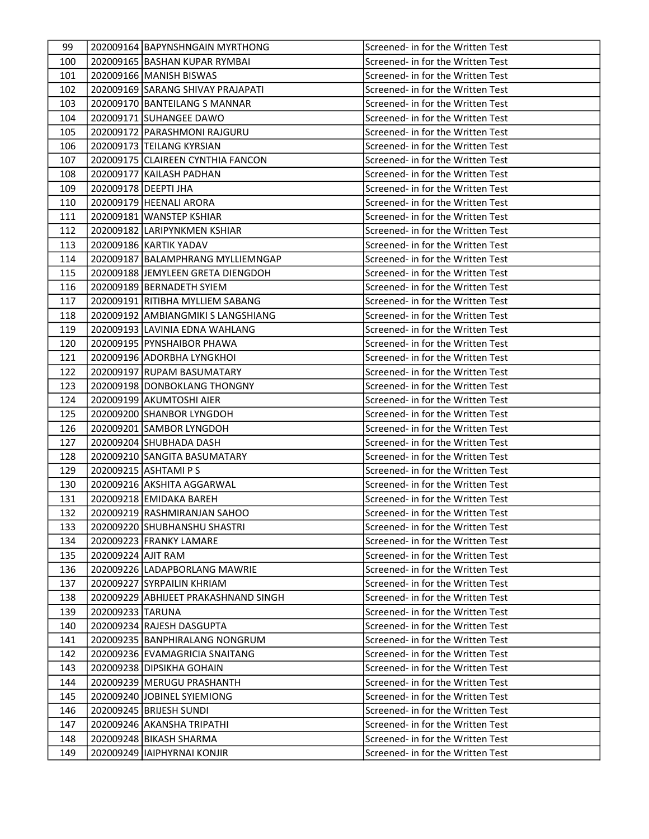| 99  |                    | 202009164 BAPYNSHNGAIN MYRTHONG      | Screened- in for the Written Test |
|-----|--------------------|--------------------------------------|-----------------------------------|
| 100 |                    | 202009165 BASHAN KUPAR RYMBAI        | Screened- in for the Written Test |
| 101 |                    | 202009166 MANISH BISWAS              | Screened- in for the Written Test |
| 102 |                    | 202009169 SARANG SHIVAY PRAJAPATI    | Screened- in for the Written Test |
| 103 |                    | 202009170 BANTEILANG S MANNAR        | Screened- in for the Written Test |
| 104 |                    | 202009171 SUHANGEE DAWO              | Screened- in for the Written Test |
| 105 |                    | 202009172 PARASHMONI RAJGURU         | Screened- in for the Written Test |
| 106 |                    | 202009173 TEILANG KYRSIAN            | Screened- in for the Written Test |
| 107 |                    | 202009175 CLAIREEN CYNTHIA FANCON    | Screened- in for the Written Test |
| 108 |                    | 202009177 KAILASH PADHAN             | Screened- in for the Written Test |
| 109 |                    | 202009178   DEEPTI JHA               | Screened- in for the Written Test |
| 110 |                    | 202009179 HEENALI ARORA              | Screened- in for the Written Test |
| 111 |                    | 202009181 WANSTEP KSHIAR             | Screened- in for the Written Test |
| 112 |                    | 202009182 LARIPYNKMEN KSHIAR         | Screened- in for the Written Test |
| 113 |                    | 202009186 KARTIK YADAV               | Screened- in for the Written Test |
| 114 |                    | 202009187 BALAMPHRANG MYLLIEMNGAP    | Screened- in for the Written Test |
| 115 |                    | 202009188 JEMYLEEN GRETA DIENGDOH    | Screened- in for the Written Test |
| 116 |                    | 202009189 BERNADETH SYIEM            | Screened- in for the Written Test |
| 117 |                    | 202009191 RITIBHA MYLLIEM SABANG     | Screened- in for the Written Test |
| 118 |                    | 202009192 AMBIANGMIKI S LANGSHIANG   | Screened- in for the Written Test |
| 119 |                    | 202009193 LAVINIA EDNA WAHLANG       | Screened- in for the Written Test |
| 120 |                    | 202009195 PYNSHAIBOR PHAWA           | Screened- in for the Written Test |
| 121 |                    | 202009196 ADORBHA LYNGKHOI           | Screened- in for the Written Test |
| 122 |                    | 202009197 RUPAM BASUMATARY           | Screened- in for the Written Test |
| 123 |                    | 202009198 DONBOKLANG THONGNY         | Screened- in for the Written Test |
| 124 |                    | 202009199 AKUMTOSHI AIER             | Screened- in for the Written Test |
| 125 |                    | 202009200 SHANBOR LYNGDOH            | Screened- in for the Written Test |
| 126 |                    | 202009201 SAMBOR LYNGDOH             | Screened- in for the Written Test |
| 127 |                    | 202009204 SHUBHADA DASH              | Screened- in for the Written Test |
| 128 |                    | 202009210 SANGITA BASUMATARY         | Screened- in for the Written Test |
| 129 |                    | 202009215 ASHTAMI P S                | Screened- in for the Written Test |
| 130 |                    | 202009216 AKSHITA AGGARWAL           | Screened- in for the Written Test |
| 131 |                    | 202009218 EMIDAKA BAREH              | Screened- in for the Written Test |
| 132 |                    | 202009219 RASHMIRANJAN SAHOO         | Screened- in for the Written Test |
| 133 |                    | 202009220 SHUBHANSHU SHASTRI         | Screened- in for the Written Test |
| 134 |                    | 202009223 FRANKY LAMARE              | Screened- in for the Written Test |
| 135 | 202009224 AJIT RAM |                                      | Screened- in for the Written Test |
| 136 |                    | 202009226 LADAPBORLANG MAWRIE        | Screened- in for the Written Test |
| 137 |                    | 202009227 SYRPAILIN KHRIAM           | Screened- in for the Written Test |
| 138 |                    | 202009229 ABHIJEET PRAKASHNAND SINGH | Screened- in for the Written Test |
| 139 | 202009233 TARUNA   |                                      | Screened- in for the Written Test |
| 140 |                    | 202009234 RAJESH DASGUPTA            | Screened- in for the Written Test |
| 141 |                    | 202009235 BANPHIRALANG NONGRUM       | Screened- in for the Written Test |
| 142 |                    | 202009236 EVAMAGRICIA SNAITANG       | Screened- in for the Written Test |
| 143 |                    | 202009238 DIPSIKHA GOHAIN            | Screened- in for the Written Test |
| 144 |                    | 202009239   MERUGU PRASHANTH         | Screened- in for the Written Test |
| 145 |                    | 202009240 JJOBINEL SYIEMIONG         | Screened- in for the Written Test |
| 146 |                    | 202009245 BRIJESH SUNDI              | Screened- in for the Written Test |
| 147 |                    | 202009246 AKANSHA TRIPATHI           | Screened- in for the Written Test |
| 148 |                    | 202009248 BIKASH SHARMA              | Screened- in for the Written Test |
| 149 |                    | 202009249   IAIPHYRNAI KONJIR        | Screened- in for the Written Test |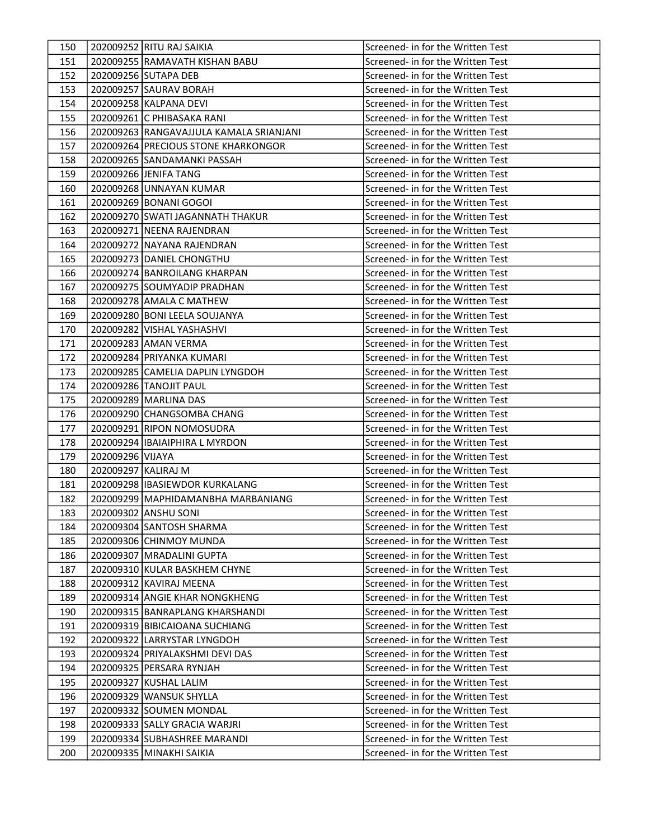| 150 |                     | 202009252 RITU RAJ SAIKIA               | Screened- in for the Written Test |
|-----|---------------------|-----------------------------------------|-----------------------------------|
| 151 |                     | 202009255 RAMAVATH KISHAN BABU          | Screened- in for the Written Test |
| 152 |                     | 202009256 SUTAPA DEB                    | Screened- in for the Written Test |
| 153 |                     | 202009257 SAURAV BORAH                  | Screened- in for the Written Test |
| 154 |                     | 202009258 KALPANA DEVI                  | Screened- in for the Written Test |
| 155 |                     | 202009261 C PHIBASAKA RANI              | Screened- in for the Written Test |
| 156 |                     | 202009263 RANGAVAJJULA KAMALA SRIANJANI | Screened- in for the Written Test |
| 157 |                     | 202009264 PRECIOUS STONE KHARKONGOR     | Screened- in for the Written Test |
| 158 |                     | 202009265 SANDAMANKI PASSAH             | Screened- in for the Written Test |
| 159 |                     | 202009266 JENIFA TANG                   | Screened- in for the Written Test |
| 160 |                     | 202009268 UNNAYAN KUMAR                 | Screened- in for the Written Test |
| 161 |                     | 202009269 BONANI GOGOI                  | Screened- in for the Written Test |
| 162 |                     | 202009270 SWATI JAGANNATH THAKUR        | Screened- in for the Written Test |
| 163 |                     | 202009271 NEENA RAJENDRAN               | Screened- in for the Written Test |
| 164 |                     | 202009272 NAYANA RAJENDRAN              | Screened- in for the Written Test |
| 165 |                     | 202009273 DANIEL CHONGTHU               | Screened- in for the Written Test |
| 166 |                     | 202009274 BANROILANG KHARPAN            | Screened- in for the Written Test |
| 167 |                     | 202009275 SOUMYADIP PRADHAN             | Screened- in for the Written Test |
| 168 |                     | 202009278 AMALA C MATHEW                | Screened- in for the Written Test |
| 169 |                     | 202009280 BONI LEELA SOUJANYA           | Screened- in for the Written Test |
| 170 |                     | 202009282 VISHAL YASHASHVI              | Screened- in for the Written Test |
| 171 |                     | 202009283 AMAN VERMA                    | Screened- in for the Written Test |
| 172 |                     | 202009284 PRIYANKA KUMARI               | Screened- in for the Written Test |
| 173 |                     | 202009285 CAMELIA DAPLIN LYNGDOH        | Screened- in for the Written Test |
| 174 |                     | 202009286 TANOJIT PAUL                  | Screened- in for the Written Test |
| 175 |                     | 202009289 MARLINA DAS                   | Screened- in for the Written Test |
| 176 |                     | 202009290 CHANGSOMBA CHANG              | Screened- in for the Written Test |
| 177 |                     | 202009291 RIPON NOMOSUDRA               | Screened- in for the Written Test |
| 178 |                     | 202009294 IBAIAIPHIRA L MYRDON          | Screened- in for the Written Test |
| 179 | 202009296 VIJAYA    |                                         | Screened- in for the Written Test |
| 180 | 202009297 KALIRAJ M |                                         | Screened- in for the Written Test |
| 181 |                     | 202009298   IBASIEWDOR KURKALANG        | Screened- in for the Written Test |
| 182 |                     | 202009299 MAPHIDAMANBHA MARBANIANG      | Screened- in for the Written Test |
| 183 |                     | 202009302 ANSHU SONI                    | Screened- in for the Written Test |
| 184 |                     | 202009304 SANTOSH SHARMA                | Screened- in for the Written Test |
| 185 |                     | 202009306 CHINMOY MUNDA                 | Screened- in for the Written Test |
| 186 |                     | 202009307   MRADALINI GUPTA             | Screened- in for the Written Test |
| 187 |                     | 202009310 KULAR BASKHEM CHYNE           | Screened- in for the Written Test |
| 188 |                     | 202009312 KAVIRAJ MEENA                 | Screened- in for the Written Test |
| 189 |                     | 202009314 ANGIE KHAR NONGKHENG          | Screened- in for the Written Test |
| 190 |                     | 202009315 BANRAPLANG KHARSHANDI         | Screened- in for the Written Test |
| 191 |                     | 202009319 BIBICAIOANA SUCHIANG          | Screened- in for the Written Test |
| 192 |                     | 202009322 LARRYSTAR LYNGDOH             | Screened- in for the Written Test |
| 193 |                     | 202009324 PRIYALAKSHMI DEVI DAS         | Screened- in for the Written Test |
| 194 |                     | 202009325 PERSARA RYNJAH                | Screened- in for the Written Test |
| 195 |                     | 202009327 KUSHAL LALIM                  | Screened- in for the Written Test |
| 196 |                     | 202009329 WANSUK SHYLLA                 | Screened- in for the Written Test |
| 197 |                     | 202009332 SOUMEN MONDAL                 | Screened- in for the Written Test |
| 198 |                     | 202009333 SALLY GRACIA WARJRI           | Screened- in for the Written Test |
| 199 |                     | 202009334 SUBHASHREE MARANDI            | Screened- in for the Written Test |
| 200 |                     | 202009335 MINAKHI SAIKIA                | Screened- in for the Written Test |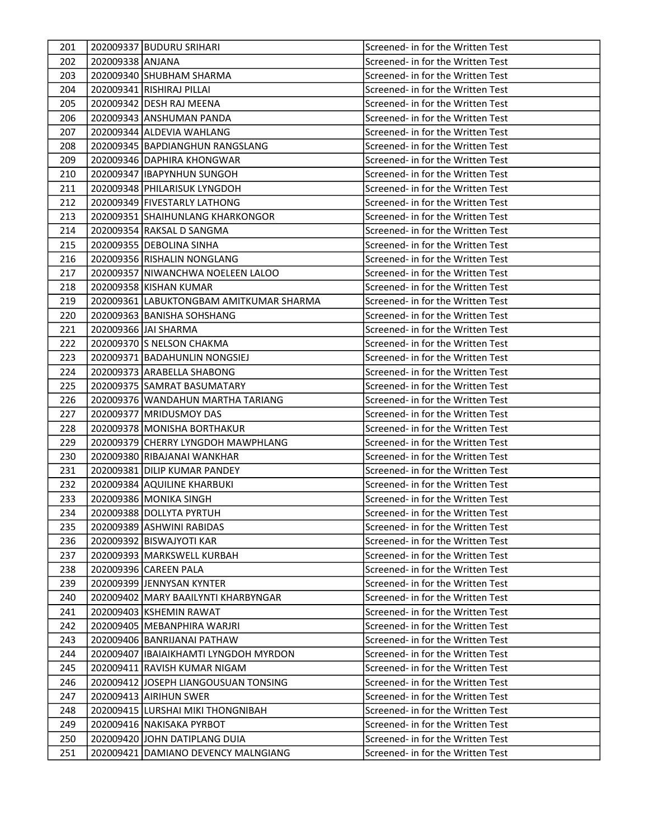| 201 |                  | 202009337 BUDURU SRIHARI                | Screened- in for the Written Test |
|-----|------------------|-----------------------------------------|-----------------------------------|
| 202 | 202009338 ANJANA |                                         | Screened- in for the Written Test |
| 203 |                  | 202009340 SHUBHAM SHARMA                | Screened- in for the Written Test |
| 204 |                  | 202009341 RISHIRAJ PILLAI               | Screened- in for the Written Test |
| 205 |                  | 202009342 DESH RAJ MEENA                | Screened- in for the Written Test |
| 206 |                  | 202009343 ANSHUMAN PANDA                | Screened- in for the Written Test |
| 207 |                  | 202009344 ALDEVIA WAHLANG               | Screened- in for the Written Test |
| 208 |                  | 202009345   BAPDIANGHUN RANGSLANG       | Screened- in for the Written Test |
| 209 |                  | 202009346 DAPHIRA KHONGWAR              | Screened- in for the Written Test |
| 210 |                  | 202009347 IBAPYNHUN SUNGOH              | Screened- in for the Written Test |
| 211 |                  | 202009348 PHILARISUK LYNGDOH            | Screened- in for the Written Test |
| 212 |                  | 202009349   FIVESTARLY LATHONG          | Screened- in for the Written Test |
| 213 |                  | 202009351 SHAIHUNLANG KHARKONGOR        | Screened- in for the Written Test |
| 214 |                  | 202009354 RAKSAL D SANGMA               | Screened- in for the Written Test |
| 215 |                  | 202009355 DEBOLINA SINHA                | Screened- in for the Written Test |
| 216 |                  | 202009356 RISHALIN NONGLANG             | Screened- in for the Written Test |
| 217 |                  | 202009357 NIWANCHWA NOELEEN LALOO       | Screened- in for the Written Test |
| 218 |                  | 202009358 KISHAN KUMAR                  | Screened- in for the Written Test |
| 219 |                  | 202009361 LABUKTONGBAM AMITKUMAR SHARMA | Screened- in for the Written Test |
| 220 |                  | 202009363 BANISHA SOHSHANG              | Screened- in for the Written Test |
| 221 |                  | 202009366 JAI SHARMA                    | Screened- in for the Written Test |
| 222 |                  | 202009370 S NELSON CHAKMA               | Screened- in for the Written Test |
| 223 |                  | 202009371 BADAHUNLIN NONGSIEJ           | Screened- in for the Written Test |
| 224 |                  | 202009373 ARABELLA SHABONG              | Screened- in for the Written Test |
| 225 |                  | 202009375 SAMRAT BASUMATARY             | Screened- in for the Written Test |
| 226 |                  | 202009376 WANDAHUN MARTHA TARIANG       | Screened- in for the Written Test |
| 227 |                  | 202009377 MRIDUSMOY DAS                 | Screened- in for the Written Test |
| 228 |                  | 202009378 MONISHA BORTHAKUR             | Screened- in for the Written Test |
| 229 |                  | 202009379 CHERRY LYNGDOH MAWPHLANG      | Screened- in for the Written Test |
| 230 |                  | 202009380 RIBAJANAI WANKHAR             | Screened- in for the Written Test |
| 231 |                  | 202009381 DILIP KUMAR PANDEY            | Screened- in for the Written Test |
| 232 |                  | 202009384 AQUILINE KHARBUKI             | Screened- in for the Written Test |
| 233 |                  | 202009386 MONIKA SINGH                  | Screened- in for the Written Test |
| 234 |                  | 202009388 DOLLYTA PYRTUH                | Screened- in for the Written Test |
| 235 |                  | 202009389 ASHWINI RABIDAS               | Screened- in for the Written Test |
| 236 |                  | 202009392 BISWAJYOTI KAR                | Screened- in for the Written Test |
| 237 |                  | 202009393 MARKSWELL KURBAH              | Screened- in for the Written Test |
| 238 |                  | 202009396 CAREEN PALA                   | Screened- in for the Written Test |
| 239 |                  | 202009399 JENNYSAN KYNTER               | Screened- in for the Written Test |
| 240 |                  | 202009402 MARY BAAILYNTI KHARBYNGAR     | Screened- in for the Written Test |
| 241 |                  | 202009403 KSHEMIN RAWAT                 | Screened- in for the Written Test |
| 242 |                  | 202009405   MEBANPHIRA WARJRI           | Screened- in for the Written Test |
| 243 |                  | 202009406 BANRIJANAI PATHAW             | Screened- in for the Written Test |
| 244 |                  | 202009407   IBAIAIKHAMTI LYNGDOH MYRDON | Screened- in for the Written Test |
| 245 |                  | 202009411 RAVISH KUMAR NIGAM            | Screened- in for the Written Test |
| 246 |                  | 202009412 JJOSEPH LIANGOUSUAN TONSING   | Screened- in for the Written Test |
| 247 |                  | 202009413 AIRIHUN SWER                  | Screened- in for the Written Test |
| 248 |                  | 202009415 LURSHAI MIKI THONGNIBAH       | Screened- in for the Written Test |
| 249 |                  | 202009416 NAKISAKA PYRBOT               | Screened- in for the Written Test |
| 250 |                  | 202009420 JJOHN DATIPLANG DUIA          | Screened- in for the Written Test |
| 251 |                  | 202009421 DAMIANO DEVENCY MALNGIANG     | Screened- in for the Written Test |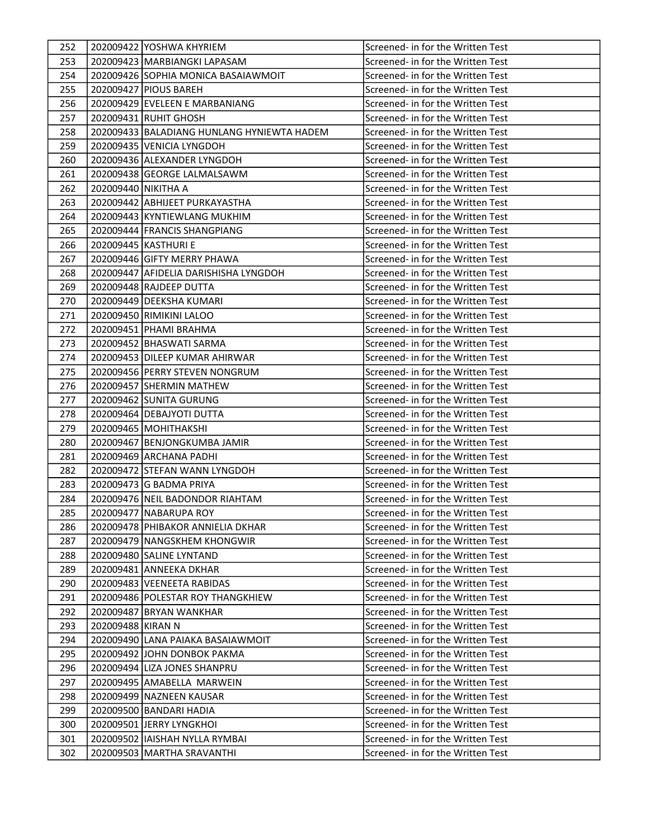| 252 |                     | 202009422 YOSHWA KHYRIEM                   | Screened- in for the Written Test |
|-----|---------------------|--------------------------------------------|-----------------------------------|
| 253 |                     | 202009423 MARBIANGKI LAPASAM               | Screened- in for the Written Test |
| 254 |                     | 202009426 SOPHIA MONICA BASAIAWMOIT        | Screened- in for the Written Test |
| 255 |                     | 202009427 PIOUS BAREH                      | Screened- in for the Written Test |
| 256 |                     | 202009429 EVELEEN E MARBANIANG             | Screened- in for the Written Test |
| 257 |                     | 202009431 RUHIT GHOSH                      | Screened- in for the Written Test |
| 258 |                     | 202009433 BALADIANG HUNLANG HYNIEWTA HADEM | Screened- in for the Written Test |
| 259 |                     | 202009435 VENICIA LYNGDOH                  | Screened- in for the Written Test |
| 260 |                     | 202009436 ALEXANDER LYNGDOH                | Screened- in for the Written Test |
| 261 |                     | 202009438 GEORGE LALMALSAWM                | Screened- in for the Written Test |
| 262 | 202009440 NIKITHA A |                                            | Screened- in for the Written Test |
| 263 |                     | 202009442 ABHIJEET PURKAYASTHA             | Screened- in for the Written Test |
| 264 |                     | 202009443 KYNTIEWLANG MUKHIM               | Screened- in for the Written Test |
| 265 |                     | 202009444 FRANCIS SHANGPIANG               | Screened- in for the Written Test |
| 266 |                     | 202009445   KASTHURI E                     | Screened- in for the Written Test |
| 267 |                     | 202009446 GIFTY MERRY PHAWA                | Screened- in for the Written Test |
| 268 |                     | 202009447 AFIDELIA DARISHISHA LYNGDOH      | Screened- in for the Written Test |
| 269 |                     | 202009448 RAJDEEP DUTTA                    | Screened- in for the Written Test |
| 270 |                     | 202009449 DEEKSHA KUMARI                   | Screened- in for the Written Test |
| 271 |                     | 202009450 RIMIKINI LALOO                   | Screened- in for the Written Test |
| 272 |                     | 202009451   PHAMI BRAHMA                   | Screened- in for the Written Test |
| 273 |                     | 202009452 BHASWATI SARMA                   | Screened- in for the Written Test |
| 274 |                     | 202009453 DILEEP KUMAR AHIRWAR             | Screened- in for the Written Test |
| 275 |                     | 202009456   PERRY STEVEN NONGRUM           | Screened- in for the Written Test |
| 276 |                     | 202009457 SHERMIN MATHEW                   | Screened- in for the Written Test |
| 277 |                     | 202009462 SUNITA GURUNG                    | Screened- in for the Written Test |
| 278 |                     | 202009464 DEBAJYOTI DUTTA                  | Screened- in for the Written Test |
| 279 |                     | 202009465   MOHITHAKSHI                    | Screened- in for the Written Test |
| 280 |                     | 202009467 BENJONGKUMBA JAMIR               | Screened- in for the Written Test |
| 281 |                     | 202009469 ARCHANA PADHI                    | Screened- in for the Written Test |
| 282 |                     | 202009472 STEFAN WANN LYNGDOH              | Screened- in for the Written Test |
| 283 |                     | 202009473 G BADMA PRIYA                    | Screened- in for the Written Test |
| 284 |                     | 202009476 NEIL BADONDOR RIAHTAM            | Screened- in for the Written Test |
| 285 |                     | 202009477 NABARUPA ROY                     | Screened- in for the Written Test |
| 286 |                     | 202009478   PHIBAKOR ANNIELIA DKHAR        | Screened- in for the Written Test |
| 287 |                     | 202009479 NANGSKHEM KHONGWIR               | Screened- in for the Written Test |
| 288 |                     | 202009480 SALINE LYNTAND                   | Screened- in for the Written Test |
| 289 |                     | 202009481 ANNEEKA DKHAR                    | Screened- in for the Written Test |
| 290 |                     | 202009483 VEENEETA RABIDAS                 | Screened- in for the Written Test |
| 291 |                     | 202009486 POLESTAR ROY THANGKHIEW          | Screened- in for the Written Test |
| 292 |                     | 202009487 BRYAN WANKHAR                    | Screened- in for the Written Test |
| 293 | 202009488 KIRAN N   |                                            | Screened- in for the Written Test |
| 294 |                     | 202009490 LANA PAIAKA BASAIAWMOIT          | Screened- in for the Written Test |
| 295 |                     | 202009492 JJOHN DONBOK PAKMA               | Screened- in for the Written Test |
| 296 |                     | 202009494 LIZA JONES SHANPRU               | Screened- in for the Written Test |
| 297 |                     | 202009495 AMABELLA MARWEIN                 | Screened- in for the Written Test |
| 298 |                     | 202009499   NAZNEEN KAUSAR                 | Screened- in for the Written Test |
| 299 |                     | 202009500 BANDARI HADIA                    | Screened- in for the Written Test |
| 300 |                     | 202009501 JERRY LYNGKHOI                   | Screened- in for the Written Test |
| 301 |                     | 202009502 IIAISHAH NYLLA RYMBAI            | Screened- in for the Written Test |
| 302 |                     | 202009503 MARTHA SRAVANTHI                 | Screened- in for the Written Test |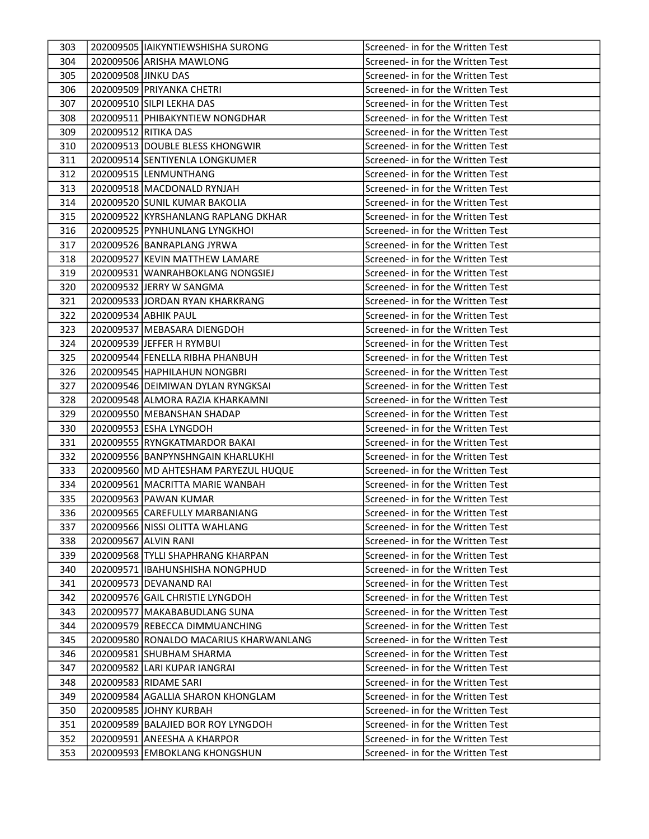| 303 |                      | 202009505  IAIKYNTIEWSHISHA SURONG     | Screened- in for the Written Test |
|-----|----------------------|----------------------------------------|-----------------------------------|
| 304 |                      | 202009506 ARISHA MAWLONG               | Screened- in for the Written Test |
| 305 | 202009508 JINKU DAS  |                                        | Screened- in for the Written Test |
| 306 |                      | 202009509 PRIYANKA CHETRI              | Screened- in for the Written Test |
| 307 |                      | 202009510 SILPI LEKHA DAS              | Screened- in for the Written Test |
| 308 |                      | 202009511   PHIBAKYNTIEW NONGDHAR      | Screened- in for the Written Test |
| 309 | 202009512 RITIKA DAS |                                        | Screened- in for the Written Test |
| 310 |                      | 202009513 DOUBLE BLESS KHONGWIR        | Screened- in for the Written Test |
| 311 |                      | 202009514 SENTIYENLA LONGKUMER         | Screened- in for the Written Test |
| 312 |                      | 202009515 LENMUNTHANG                  | Screened- in for the Written Test |
| 313 |                      | 202009518   MACDONALD RYNJAH           | Screened- in for the Written Test |
| 314 |                      | 202009520 SUNIL KUMAR BAKOLIA          | Screened- in for the Written Test |
| 315 |                      | 202009522 KYRSHANLANG RAPLANG DKHAR    | Screened- in for the Written Test |
| 316 |                      | 202009525 PYNHUNLANG LYNGKHOI          | Screened- in for the Written Test |
| 317 |                      | 202009526 BANRAPLANG JYRWA             | Screened- in for the Written Test |
| 318 |                      | 202009527 KEVIN MATTHEW LAMARE         | Screened- in for the Written Test |
| 319 |                      | 202009531 WANRAHBOKLANG NONGSIEJ       | Screened- in for the Written Test |
| 320 |                      | 202009532 JERRY W SANGMA               | Screened- in for the Written Test |
| 321 |                      | 202009533 JORDAN RYAN KHARKRANG        | Screened- in for the Written Test |
| 322 |                      | 202009534 ABHIK PAUL                   | Screened- in for the Written Test |
| 323 |                      | 202009537 MEBASARA DIENGDOH            | Screened- in for the Written Test |
| 324 |                      | 202009539 JEFFER H RYMBUI              | Screened- in for the Written Test |
| 325 |                      | 202009544 FENELLA RIBHA PHANBUH        | Screened- in for the Written Test |
| 326 |                      | 202009545 HAPHILAHUN NONGBRI           | Screened- in for the Written Test |
| 327 |                      | 202009546 DEIMIWAN DYLAN RYNGKSAI      | Screened- in for the Written Test |
| 328 |                      | 202009548 ALMORA RAZIA KHARKAMNI       | Screened- in for the Written Test |
| 329 |                      | 202009550 MEBANSHAN SHADAP             | Screened- in for the Written Test |
| 330 |                      | 202009553 ESHA LYNGDOH                 | Screened- in for the Written Test |
| 331 |                      | 202009555 RYNGKATMARDOR BAKAI          | Screened- in for the Written Test |
| 332 |                      | 202009556 BANPYNSHNGAIN KHARLUKHI      | Screened- in for the Written Test |
| 333 |                      | 202009560 MD AHTESHAM PARYEZUL HUQUE   | Screened- in for the Written Test |
| 334 |                      | 202009561 MACRITTA MARIE WANBAH        | Screened- in for the Written Test |
| 335 |                      | 202009563 PAWAN KUMAR                  | Screened- in for the Written Test |
| 336 |                      | 202009565 CAREFULLY MARBANIANG         | Screened- in for the Written Test |
| 337 |                      | 202009566 NISSI OLITTA WAHLANG         | Screened- in for the Written Test |
| 338 |                      | 202009567 ALVIN RANI                   | Screened- in for the Written Test |
| 339 |                      | 202009568 TYLLI SHAPHRANG KHARPAN      | Screened- in for the Written Test |
| 340 |                      | 202009571 IIBAHUNSHISHA NONGPHUD       | Screened- in for the Written Test |
| 341 |                      | 202009573 DEVANAND RAI                 | Screened- in for the Written Test |
| 342 |                      | 202009576 GAIL CHRISTIE LYNGDOH        | Screened- in for the Written Test |
| 343 |                      | 202009577 MAKABABUDLANG SUNA           | Screened- in for the Written Test |
| 344 |                      | 202009579 REBECCA DIMMUANCHING         | Screened- in for the Written Test |
| 345 |                      | 202009580 RONALDO MACARIUS KHARWANLANG | Screened- in for the Written Test |
| 346 |                      | 202009581 SHUBHAM SHARMA               | Screened- in for the Written Test |
| 347 |                      | 202009582 LARI KUPAR IANGRAI           | Screened- in for the Written Test |
| 348 |                      | 202009583  RIDAME SARI                 | Screened- in for the Written Test |
| 349 |                      | 202009584 AGALLIA SHARON KHONGLAM      | Screened- in for the Written Test |
| 350 |                      | 202009585 JOHNY KURBAH                 | Screened- in for the Written Test |
| 351 |                      | 202009589 BALAJIED BOR ROY LYNGDOH     | Screened- in for the Written Test |
| 352 |                      | 202009591 ANEESHA A KHARPOR            | Screened- in for the Written Test |
| 353 |                      | 202009593 EMBOKLANG KHONGSHUN          | Screened- in for the Written Test |
|     |                      |                                        |                                   |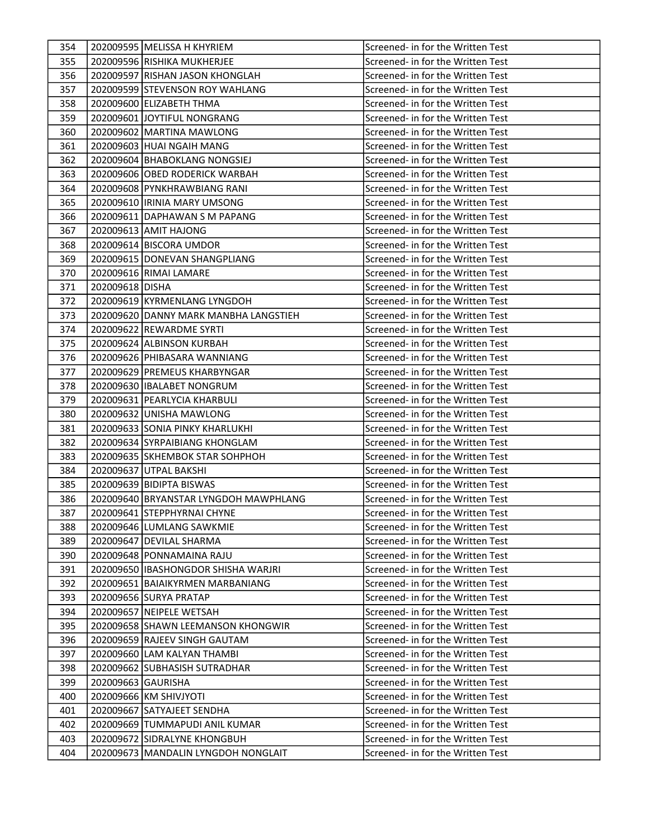| 354 |                    | 202009595 MELISSA H KHYRIEM           | Screened- in for the Written Test |
|-----|--------------------|---------------------------------------|-----------------------------------|
| 355 |                    | 202009596 RISHIKA MUKHERJEE           | Screened- in for the Written Test |
| 356 |                    | 202009597 RISHAN JASON KHONGLAH       | Screened- in for the Written Test |
| 357 |                    | 202009599 STEVENSON ROY WAHLANG       | Screened- in for the Written Test |
| 358 |                    | 202009600 ELIZABETH THMA              | Screened- in for the Written Test |
| 359 |                    | 202009601 JOYTIFUL NONGRANG           | Screened- in for the Written Test |
| 360 |                    | 202009602 MARTINA MAWLONG             | Screened- in for the Written Test |
| 361 |                    | 202009603 HUAI NGAIH MANG             | Screened- in for the Written Test |
| 362 |                    | 202009604 BHABOKLANG NONGSIEJ         | Screened- in for the Written Test |
| 363 |                    | 202009606 OBED RODERICK WARBAH        | Screened- in for the Written Test |
| 364 |                    | 202009608 PYNKHRAWBIANG RANI          | Screened- in for the Written Test |
| 365 |                    | 202009610   IRINIA MARY UMSONG        | Screened- in for the Written Test |
| 366 |                    | 202009611 DAPHAWAN S M PAPANG         | Screened- in for the Written Test |
| 367 |                    | 202009613 AMIT HAJONG                 | Screened- in for the Written Test |
| 368 |                    | 202009614 BISCORA UMDOR               | Screened- in for the Written Test |
| 369 |                    | 202009615 DONEVAN SHANGPLIANG         | Screened- in for the Written Test |
| 370 |                    | 202009616 RIMAI LAMARE                | Screened- in for the Written Test |
| 371 | 202009618 DISHA    |                                       | Screened- in for the Written Test |
| 372 |                    | 202009619 KYRMENLANG LYNGDOH          | Screened- in for the Written Test |
| 373 |                    | 202009620 DANNY MARK MANBHA LANGSTIEH | Screened- in for the Written Test |
| 374 |                    | 202009622 REWARDME SYRTI              | Screened- in for the Written Test |
| 375 |                    | 202009624 ALBINSON KURBAH             | Screened- in for the Written Test |
| 376 |                    | 202009626 PHIBASARA WANNIANG          | Screened- in for the Written Test |
| 377 |                    | 202009629 PREMEUS KHARBYNGAR          | Screened- in for the Written Test |
| 378 |                    | 202009630 IBALABET NONGRUM            | Screened- in for the Written Test |
| 379 |                    | 202009631 PEARLYCIA KHARBULI          | Screened- in for the Written Test |
| 380 |                    | 202009632 UNISHA MAWLONG              | Screened- in for the Written Test |
| 381 |                    | 202009633 SONIA PINKY KHARLUKHI       | Screened- in for the Written Test |
| 382 |                    | 202009634 SYRPAIBIANG KHONGLAM        | Screened- in for the Written Test |
| 383 |                    | 202009635 SKHEMBOK STAR SOHPHOH       | Screened- in for the Written Test |
| 384 |                    | 202009637 UTPAL BAKSHI                | Screened- in for the Written Test |
| 385 |                    | 202009639 BIDIPTA BISWAS              | Screened- in for the Written Test |
| 386 |                    | 202009640 BRYANSTAR LYNGDOH MAWPHLANG | Screened- in for the Written Test |
| 387 |                    | 202009641 STEPPHYRNAI CHYNE           | Screened- in for the Written Test |
| 388 |                    | 202009646 LUMLANG SAWKMIE             | Screened- in for the Written Test |
| 389 |                    | 202009647 DEVILAL SHARMA              | Screened- in for the Written Test |
| 390 |                    | 202009648 PONNAMAINA RAJU             | Screened- in for the Written Test |
| 391 |                    | 202009650 IIBASHONGDOR SHISHA WARJRI  | Screened- in for the Written Test |
| 392 |                    | 202009651 BAIAIKYRMEN MARBANIANG      | Screened- in for the Written Test |
| 393 |                    | 202009656 SURYA PRATAP                | Screened- in for the Written Test |
| 394 |                    | 202009657 NEIPELE WETSAH              | Screened- in for the Written Test |
| 395 |                    | 202009658 SHAWN LEEMANSON KHONGWIR    | Screened- in for the Written Test |
| 396 |                    | 202009659 RAJEEV SINGH GAUTAM         | Screened- in for the Written Test |
| 397 |                    | 202009660 LAM KALYAN THAMBI           | Screened- in for the Written Test |
| 398 |                    | 202009662 SUBHASISH SUTRADHAR         | Screened- in for the Written Test |
| 399 | 202009663 GAURISHA |                                       | Screened- in for the Written Test |
| 400 |                    | 202009666 KM SHIVJYOTI                | Screened- in for the Written Test |
| 401 |                    | 202009667 SATYAJEET SENDHA            | Screened- in for the Written Test |
| 402 |                    | 202009669 TUMMAPUDI ANIL KUMAR        | Screened- in for the Written Test |
| 403 |                    | 202009672 SIDRALYNE KHONGBUH          | Screened- in for the Written Test |
| 404 |                    | 202009673 MANDALIN LYNGDOH NONGLAIT   | Screened- in for the Written Test |